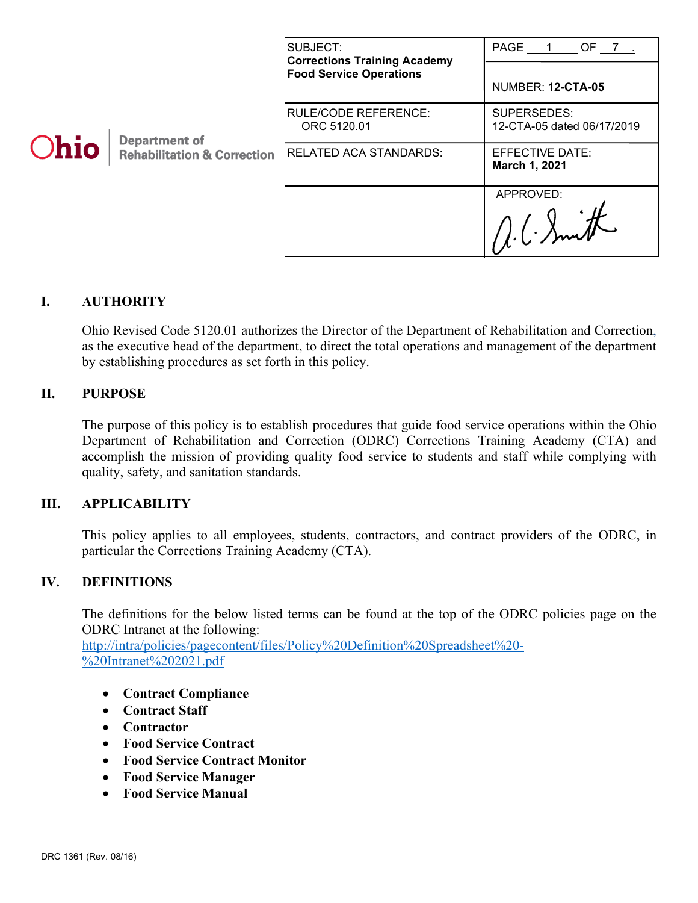|             |                                                                | SUBJECT:<br><b>Corrections Training Academy</b><br><b>Food Service Operations</b> | PAGE 1 OF 7                               |
|-------------|----------------------------------------------------------------|-----------------------------------------------------------------------------------|-------------------------------------------|
| <b>Ohio</b> | <b>Department of</b><br><b>Rehabilitation &amp; Correction</b> |                                                                                   | <b>NUMBER: 12-CTA-05</b>                  |
|             |                                                                | <b>RULE/CODE REFERENCE:</b><br>ORC 5120.01                                        | SUPERSEDES:<br>12-CTA-05 dated 06/17/2019 |
|             |                                                                | <b>RELATED ACA STANDARDS:</b>                                                     | EFFECTIVE DATE:<br>March 1, 2021          |
|             |                                                                |                                                                                   | APPROVED:                                 |

### **I. AUTHORITY**

Ohio Revised Code 5120.01 authorizes the Director of the Department of Rehabilitation and Correction, as the executive head of the department, to direct the total operations and management of the department by establishing procedures as set forth in this policy.

### **II. PURPOSE**

The purpose of this policy is to establish procedures that guide food service operations within the Ohio Department of Rehabilitation and Correction (ODRC) Corrections Training Academy (CTA) and accomplish the mission of providing quality food service to students and staff while complying with quality, safety, and sanitation standards.

### **III. APPLICABILITY**

This policy applies to all employees, students, contractors, and contract providers of the ODRC, in particular the Corrections Training Academy (CTA).

### **IV. DEFINITIONS**

The definitions for the below listed terms can be found at the top of the ODRC policies page on the ODRC Intranet at the following:

[http://intra/policies/pagecontent/files/Policy%20Definition%20Spreadsheet%20-](http://intra/policies/pagecontent/files/Policy%20Definition%20Spreadsheet%20-%20Intranet%202021.pdf) [%20Intranet%202021.pdf](http://intra/policies/pagecontent/files/Policy%20Definition%20Spreadsheet%20-%20Intranet%202021.pdf)

- **Contract Compliance**
- **Contract Staff**
- **Contractor**
- **Food Service Contract**
- **Food Service Contract Monitor**
- **Food Service Manager**
- **Food Service Manual**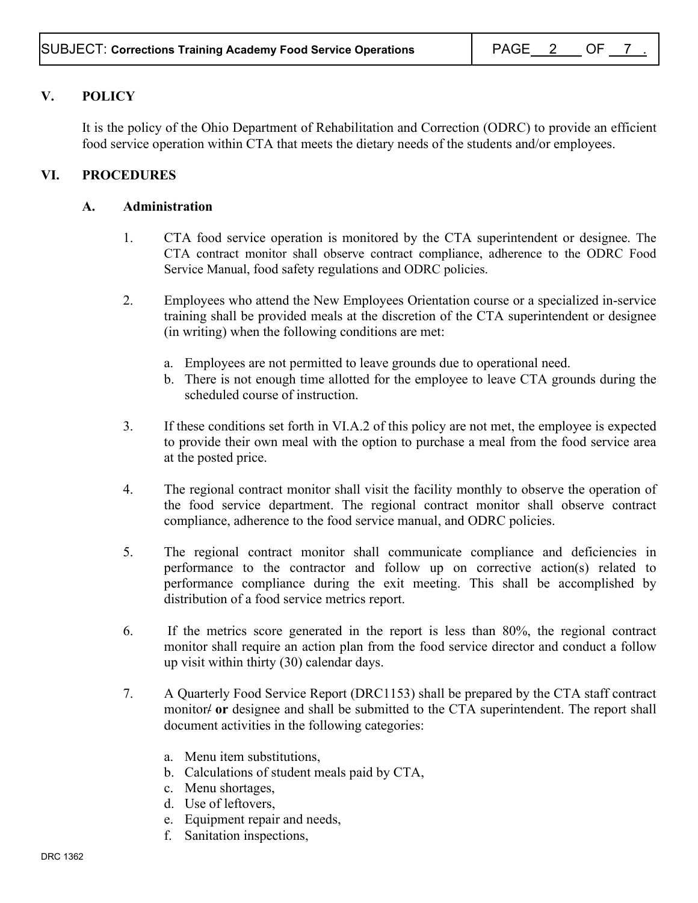# **V. POLICY**

It is the policy of the Ohio Department of Rehabilitation and Correction (ODRC) to provide an efficient food service operation within CTA that meets the dietary needs of the students and/or employees.

## **VI. PROCEDURES**

### **A. Administration**

- 1. CTA food service operation is monitored by the CTA superintendent or designee. The CTA contract monitor shall observe contract compliance, adherence to the ODRC Food Service Manual, food safety regulations and ODRC policies.
- 2. Employees who attend the New Employees Orientation course or a specialized in-service training shall be provided meals at the discretion of the CTA superintendent or designee (in writing) when the following conditions are met:
	- a. Employees are not permitted to leave grounds due to operational need.
	- b. There is not enough time allotted for the employee to leave CTA grounds during the scheduled course of instruction.
- 3. If these conditions set forth in VI.A.2 of this policy are not met, the employee is expected to provide their own meal with the option to purchase a meal from the food service area at the posted price.
- 4. The regional contract monitor shall visit the facility monthly to observe the operation of the food service department. The regional contract monitor shall observe contract compliance, adherence to the food service manual, and ODRC policies.
- 5. The regional contract monitor shall communicate compliance and deficiencies in performance to the contractor and follow up on corrective action(s) related to performance compliance during the exit meeting. This shall be accomplished by distribution of a food service metrics report.
- 6. If the metrics score generated in the report is less than 80%, the regional contract monitor shall require an action plan from the food service director and conduct a follow up visit within thirty (30) calendar days.
- 7. A Quarterly Food Service Report (DRC1153) shall be prepared by the CTA staff contract monitor**/ or** designee and shall be submitted to the CTA superintendent. The report shall document activities in the following categories:
	- a. Menu item substitutions,
	- b. Calculations of student meals paid by CTA,
	- c. Menu shortages,
	- d. Use of leftovers,
	- e. Equipment repair and needs,
	- f. Sanitation inspections,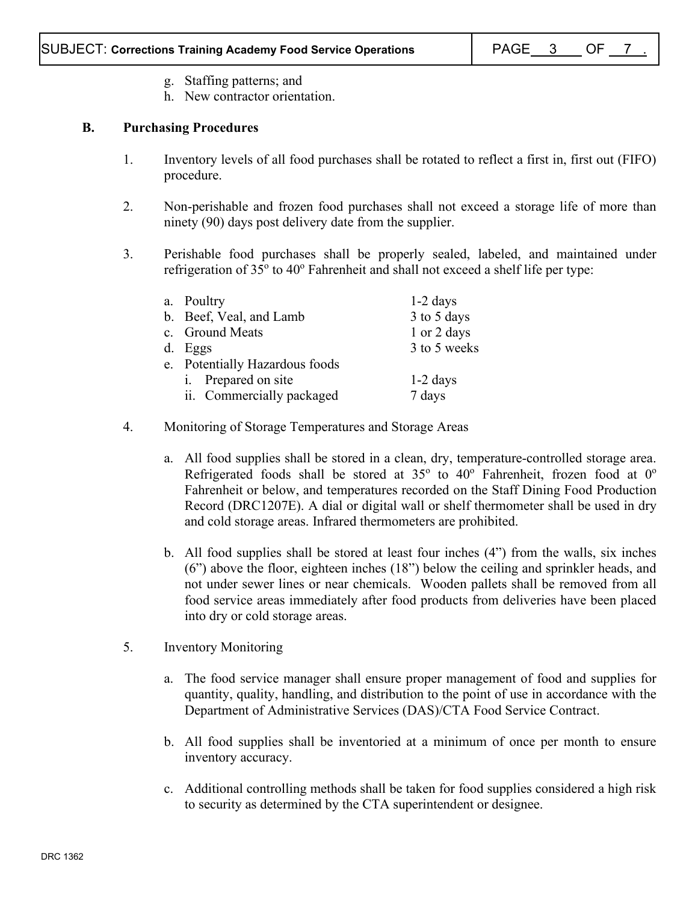- g. Staffing patterns; and
- h. New contractor orientation.

# **B. Purchasing Procedures**

- 1. Inventory levels of all food purchases shall be rotated to reflect a first in, first out (FIFO) procedure.
- 2. Non-perishable and frozen food purchases shall not exceed a storage life of more than ninety (90) days post delivery date from the supplier.
- 3. Perishable food purchases shall be properly sealed, labeled, and maintained under refrigeration of  $35^{\circ}$  to  $40^{\circ}$  Fahrenheit and shall not exceed a shelf life per type:

| a. Poultry                     | $1-2$ days   |
|--------------------------------|--------------|
|                                |              |
| b. Beef, Veal, and Lamb        | 3 to 5 days  |
| c. Ground Meats                | 1 or 2 days  |
| d. Eggs                        | 3 to 5 weeks |
| e. Potentially Hazardous foods |              |
| i. Prepared on site            | $1-2$ days   |
| ii. Commercially packaged      | 7 days       |
|                                |              |

- 4. Monitoring of Storage Temperatures and Storage Areas
	- a. All food supplies shall be stored in a clean, dry, temperature-controlled storage area. Refrigerated foods shall be stored at  $35^{\circ}$  to  $40^{\circ}$  Fahrenheit, frozen food at  $0^{\circ}$ Fahrenheit or below, and temperatures recorded on the Staff Dining Food Production Record (DRC1207E). A dial or digital wall or shelf thermometer shall be used in dry and cold storage areas. Infrared thermometers are prohibited.
	- b. All food supplies shall be stored at least four inches (4") from the walls, six inches (6") above the floor, eighteen inches (18") below the ceiling and sprinkler heads, and not under sewer lines or near chemicals. Wooden pallets shall be removed from all food service areas immediately after food products from deliveries have been placed into dry or cold storage areas.
- 5. Inventory Monitoring
	- a. The food service manager shall ensure proper management of food and supplies for quantity, quality, handling, and distribution to the point of use in accordance with the Department of Administrative Services (DAS)/CTA Food Service Contract.
	- b. All food supplies shall be inventoried at a minimum of once per month to ensure inventory accuracy.
	- c. Additional controlling methods shall be taken for food supplies considered a high risk to security as determined by the CTA superintendent or designee.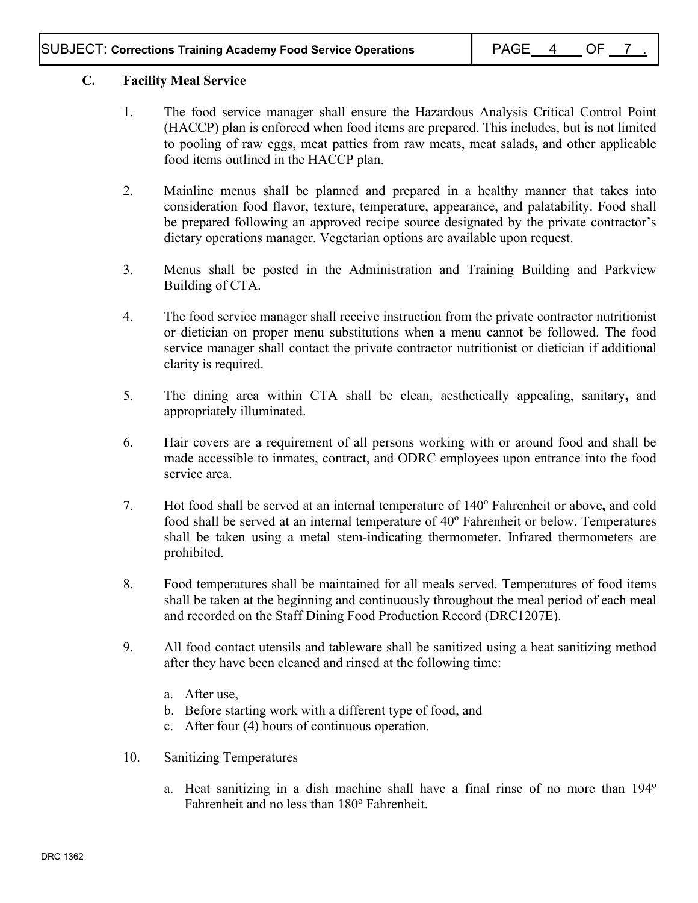# **C. Facility Meal Service**

- 1. The food service manager shall ensure the Hazardous Analysis Critical Control Point (HACCP) plan is enforced when food items are prepared. This includes, but is not limited to pooling of raw eggs, meat patties from raw meats, meat salads**,** and other applicable food items outlined in the HACCP plan.
- 2. Mainline menus shall be planned and prepared in a healthy manner that takes into consideration food flavor, texture, temperature, appearance, and palatability. Food shall be prepared following an approved recipe source designated by the private contractor's dietary operations manager. Vegetarian options are available upon request.
- 3. Menus shall be posted in the Administration and Training Building and Parkview Building of CTA.
- 4. The food service manager shall receive instruction from the private contractor nutritionist or dietician on proper menu substitutions when a menu cannot be followed. The food service manager shall contact the private contractor nutritionist or dietician if additional clarity is required.
- 5. The dining area within CTA shall be clean, aesthetically appealing, sanitary**,** and appropriately illuminated.
- 6. Hair covers are a requirement of all persons working with or around food and shall be made accessible to inmates, contract, and ODRC employees upon entrance into the food service area.
- 7. Hot food shall be served at an internal temperature of 140° Fahrenheit or above, and cold food shall be served at an internal temperature of  $40^{\circ}$  Fahrenheit or below. Temperatures shall be taken using a metal stem-indicating thermometer. Infrared thermometers are prohibited.
- 8. Food temperatures shall be maintained for all meals served. Temperatures of food items shall be taken at the beginning and continuously throughout the meal period of each meal and recorded on the Staff Dining Food Production Record (DRC1207E).
- 9. All food contact utensils and tableware shall be sanitized using a heat sanitizing method after they have been cleaned and rinsed at the following time:
	- a. After use,
	- b. Before starting work with a different type of food, and
	- c. After four (4) hours of continuous operation.
- 10. Sanitizing Temperatures
	- a. Heat sanitizing in a dish machine shall have a final rinse of no more than  $194^\circ$ Fahrenheit and no less than 180° Fahrenheit.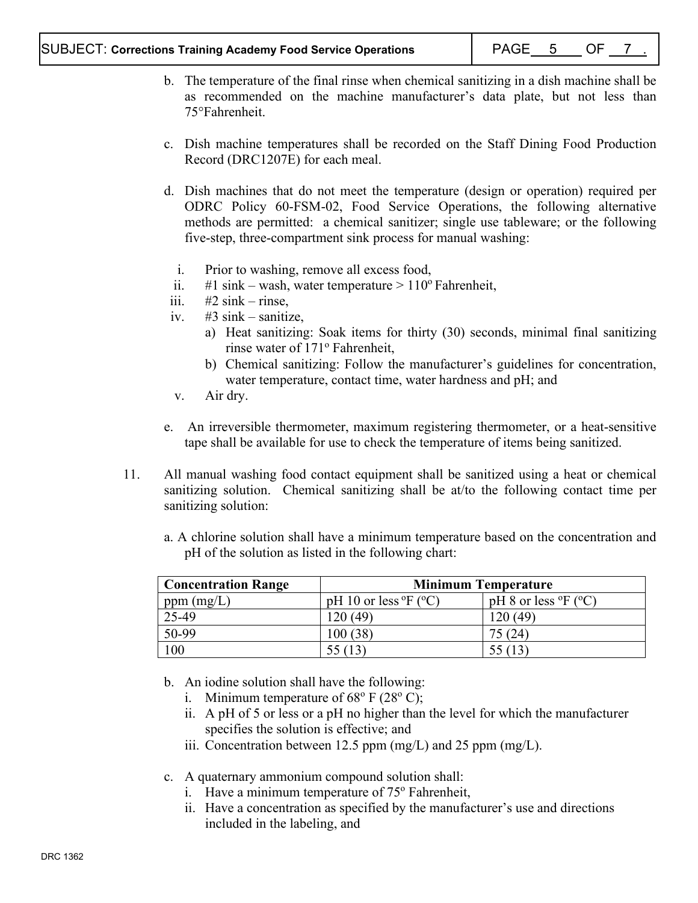- b. The temperature of the final rinse when chemical sanitizing in a dish machine shall be as recommended on the machine manufacturer's data plate, but not less than 75°Fahrenheit.
- c. Dish machine temperatures shall be recorded on the Staff Dining Food Production Record (DRC1207E) for each meal.
- d. Dish machines that do not meet the temperature (design or operation) required per ODRC Policy 60-FSM-02, Food Service Operations, the following alternative methods are permitted: a chemical sanitizer; single use tableware; or the following five-step, three-compartment sink process for manual washing:
	- i. Prior to washing, remove all excess food,
	- ii. #1 sink wash, water temperature  $> 110^{\circ}$  Fahrenheit,
- iii.  $#2 \sin k \text{rinse.}$
- iv.  $\#3 \sin k -$  sanitize,
	- a) Heat sanitizing: Soak items for thirty (30) seconds, minimal final sanitizing rinse water of 171<sup>°</sup> Fahrenheit,
	- b) Chemical sanitizing: Follow the manufacturer's guidelines for concentration, water temperature, contact time, water hardness and pH; and
- v. Air dry.
- e. An irreversible thermometer, maximum registering thermometer, or a heat-sensitive tape shall be available for use to check the temperature of items being sanitized.
- 11. All manual washing food contact equipment shall be sanitized using a heat or chemical sanitizing solution. Chemical sanitizing shall be at/to the following contact time per sanitizing solution:
	- a. A chlorine solution shall have a minimum temperature based on the concentration and pH of the solution as listed in the following chart:

| <b>Concentration Range</b> | <b>Minimum Temperature</b>                     |                                              |
|----------------------------|------------------------------------------------|----------------------------------------------|
| ppm $(mg/L)$               | pH 10 or less ${}^{\circ}$ F ( ${}^{\circ}$ C) | pH 8 or less $\mathrm{P}F$ ( $\mathrm{C}O$ ) |
| 25-49                      | 120(49)                                        | 120(49)                                      |
| 50-99                      | 100(38)                                        | 75(24)                                       |
| 100                        | 55 (13                                         |                                              |

- b. An iodine solution shall have the following:
	- i. Minimum temperature of  $68^{\circ}$  F (28 $^{\circ}$  C);
	- ii. A pH of 5 or less or a pH no higher than the level for which the manufacturer specifies the solution is effective; and
	- iii. Concentration between 12.5 ppm  $(mg/L)$  and 25 ppm  $(mg/L)$ .
- c. A quaternary ammonium compound solution shall:
	- i. Have a minimum temperature of  $75^{\circ}$  Fahrenheit,
	- ii. Have a concentration as specified by the manufacturer's use and directions included in the labeling, and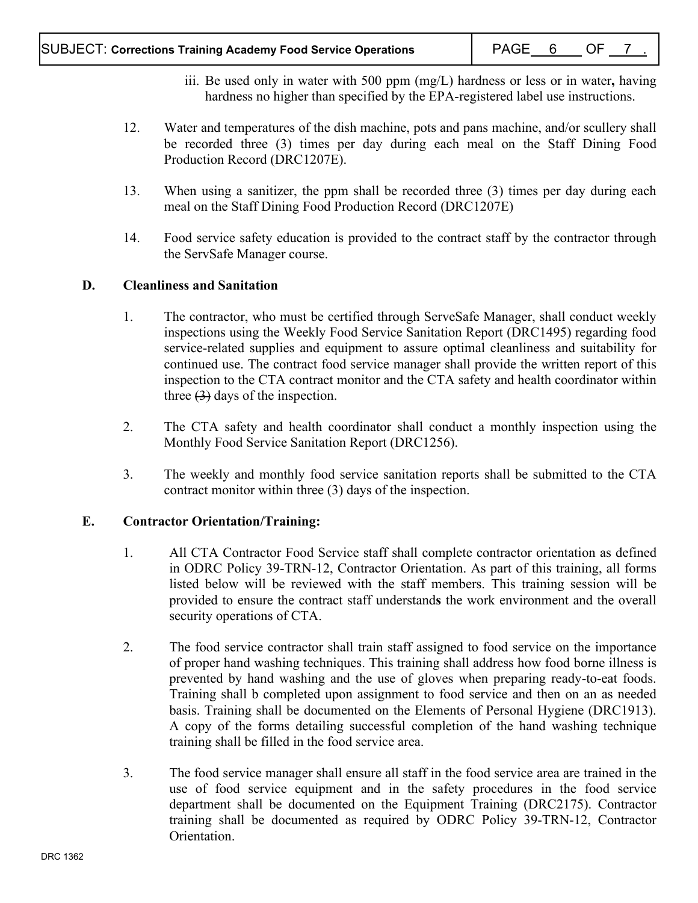- iii. Be used only in water with 500 ppm (mg/L) hardness or less or in water**,** having hardness no higher than specified by the EPA-registered label use instructions.
- 12. Water and temperatures of the dish machine, pots and pans machine, and/or scullery shall be recorded three (3) times per day during each meal on the Staff Dining Food Production Record (DRC1207E).
- 13. When using a sanitizer, the ppm shall be recorded three (3) times per day during each meal on the Staff Dining Food Production Record (DRC1207E)
- 14. Food service safety education is provided to the contract staff by the contractor through the ServSafe Manager course.

## **D. Cleanliness and Sanitation**

- 1. The contractor, who must be certified through ServeSafe Manager, shall conduct weekly inspections using the Weekly Food Service Sanitation Report (DRC1495) regarding food service-related supplies and equipment to assure optimal cleanliness and suitability for continued use. The contract food service manager shall provide the written report of this inspection to the CTA contract monitor and the CTA safety and health coordinator within three  $(3)$  days of the inspection.
- 2. The CTA safety and health coordinator shall conduct a monthly inspection using the Monthly Food Service Sanitation Report (DRC1256).
- 3. The weekly and monthly food service sanitation reports shall be submitted to the CTA contract monitor within three (3) days of the inspection.

## **E. Contractor Orientation/Training:**

- 1. All CTA Contractor Food Service staff shall complete contractor orientation as defined in ODRC Policy 39-TRN-12, Contractor Orientation. As part of this training, all forms listed below will be reviewed with the staff members. This training session will be provided to ensure the contract staff understand**s** the work environment and the overall security operations of CTA.
- 2. The food service contractor shall train staff assigned to food service on the importance of proper hand washing techniques. This training shall address how food borne illness is prevented by hand washing and the use of gloves when preparing ready-to-eat foods. Training shall b completed upon assignment to food service and then on an as needed basis. Training shall be documented on the Elements of Personal Hygiene (DRC1913). A copy of the forms detailing successful completion of the hand washing technique training shall be filled in the food service area.
- 3. The food service manager shall ensure all staff in the food service area are trained in the use of food service equipment and in the safety procedures in the food service department shall be documented on the Equipment Training (DRC2175). Contractor training shall be documented as required by ODRC Policy 39-TRN-12, Contractor Orientation.